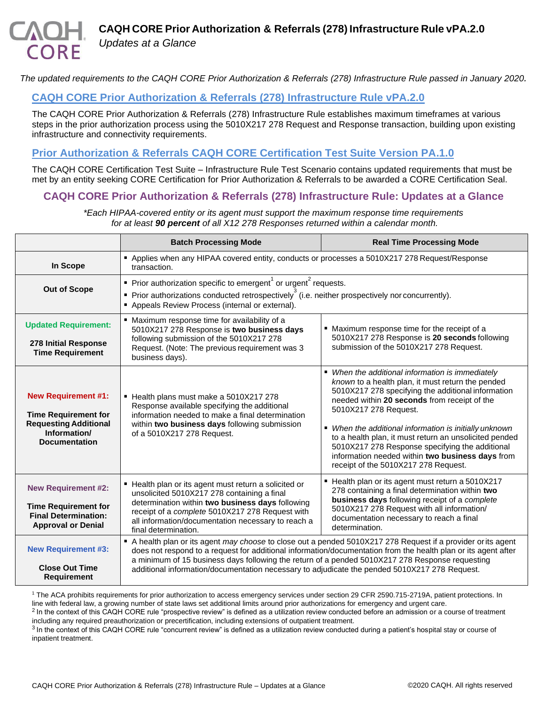*Updates at a Glance*

*The updated requirements to the CAQH CORE Prior Authorization & Referrals (278) Infrastructure Rule passed in January 2020.*

## **[CAQH CORE Prior Authorization & Referrals \(278\) Infrastructure Rule vPA.2.0](https://www.caqh.org/sites/default/files/core/Prior-Authorization-Referrals-278-Infrastructure-Rule.pdf?token=34jFjWSO)**

The CAQH CORE Prior Authorization & Referrals (278) Infrastructure Rule establishes maximum timeframes at various steps in the prior authorization process using the 5010X217 278 Request and Response transaction, building upon existing infrastructure and connectivity requirements.

## **[Prior Authorization & Referrals CAQH CORE Certification Test Suite Version PA.1.0](https://www.caqh.org/sites/default/files/core/Prior-Authorization-and-Referrals-Certification-Test-Suite-vPA.1.0.pdf?token=XL3YzrpK)**

The CAQH CORE Certification Test Suite – Infrastructure Rule Test Scenario contains updated requirements that must be met by an entity seeking CORE Certification for Prior Authorization & Referrals to be awarded a CORE Certification Seal.

## **CAQH CORE Prior Authorization & Referrals (278) Infrastructure Rule: Updates at a Glance**

*\*Each HIPAA-covered entity or its agent must support the maximum response time requirements for at least 90 percent of all X12 278 Responses returned within a calendar month.*

|                                                                                                                                   | <b>Batch Processing Mode</b>                                                                                                                                                                                                                                                                                                                                                                                                      | <b>Real Time Processing Mode</b>                                                                                                                                                                                                                                                                                                                                                                                                                                                                        |
|-----------------------------------------------------------------------------------------------------------------------------------|-----------------------------------------------------------------------------------------------------------------------------------------------------------------------------------------------------------------------------------------------------------------------------------------------------------------------------------------------------------------------------------------------------------------------------------|---------------------------------------------------------------------------------------------------------------------------------------------------------------------------------------------------------------------------------------------------------------------------------------------------------------------------------------------------------------------------------------------------------------------------------------------------------------------------------------------------------|
| In Scope                                                                                                                          | " Applies when any HIPAA covered entity, conducts or processes a 5010X217 278 Request/Response<br>transaction.                                                                                                                                                                                                                                                                                                                    |                                                                                                                                                                                                                                                                                                                                                                                                                                                                                                         |
| <b>Out of Scope</b>                                                                                                               | Prior authorization specific to emergent $1$ or urgent <sup>2</sup> requests.<br>$\blacksquare$ Prior authorizations conducted retrospectively <sup>3</sup> (i.e. neither prospectively nor concurrently).<br>Appeals Review Process (internal or external).                                                                                                                                                                      |                                                                                                                                                                                                                                                                                                                                                                                                                                                                                                         |
| <b>Updated Requirement:</b><br>278 Initial Response<br><b>Time Requirement</b>                                                    | • Maximum response time for availability of a<br>5010X217 278 Response is two business days<br>following submission of the 5010X217 278<br>Request. (Note: The previous requirement was 3<br>business days).                                                                                                                                                                                                                      | ■ Maximum response time for the receipt of a<br>5010X217 278 Response is 20 seconds following<br>submission of the 5010X217 278 Request.                                                                                                                                                                                                                                                                                                                                                                |
| <b>New Requirement #1:</b><br><b>Time Requirement for</b><br><b>Requesting Additional</b><br>Information/<br><b>Documentation</b> | Health plans must make a 5010X217 278<br>Response available specifying the additional<br>information needed to make a final determination<br>within two business days following submission<br>of a 5010X217 278 Request.                                                                                                                                                                                                          | • When the additional information is immediately<br>known to a health plan, it must return the pended<br>5010X217 278 specifying the additional information<br>needed within 20 seconds from receipt of the<br>5010X217 278 Request.<br>• When the additional information is initially unknown<br>to a health plan, it must return an unsolicited pended<br>5010X217 278 Response specifying the additional<br>information needed within two business days from<br>receipt of the 5010X217 278 Request. |
| <b>New Requirement #2:</b><br><b>Time Requirement for</b><br><b>Final Determination:</b><br><b>Approval or Denial</b>             | ■ Health plan or its agent must return a solicited or<br>unsolicited 5010X217 278 containing a final<br>determination within two business days following<br>receipt of a complete 5010X217 278 Request with<br>all information/documentation necessary to reach a<br>final determination.                                                                                                                                         | ■ Health plan or its agent must return a 5010X217<br>278 containing a final determination within two<br>business days following receipt of a complete<br>5010X217 278 Request with all information/<br>documentation necessary to reach a final<br>determination.                                                                                                                                                                                                                                       |
| <b>New Requirement #3:</b><br><b>Close Out Time</b><br><b>Requirement</b>                                                         | A health plan or its agent may choose to close out a pended 5010X217 278 Request if a provider or its agent<br>does not respond to a request for additional information/documentation from the health plan or its agent after<br>a minimum of 15 business days following the return of a pended 5010X217 278 Response requesting<br>additional information/documentation necessary to adjudicate the pended 5010X217 278 Request. |                                                                                                                                                                                                                                                                                                                                                                                                                                                                                                         |

<sup>1</sup> The ACA prohibits requirements for prior authorization to access emergency services under section 29 CFR 2590.715-2719A, patient protections. In line with federal law, a growing number of state laws set additional limits around prior authorizations for emergency and urgent care.

 $<sup>2</sup>$  In the context of this CAQH CORE rule "prospective review" is defined as a utilization review conducted before an admission or a course of treatment</sup> including any required preauthorization or precertification, including extensions of outpatient treatment.

<sup>3</sup> In the context of this CAQH CORE rule "concurrent review" is defined as a utilization review conducted during a patient's hospital stay or course of inpatient treatment.